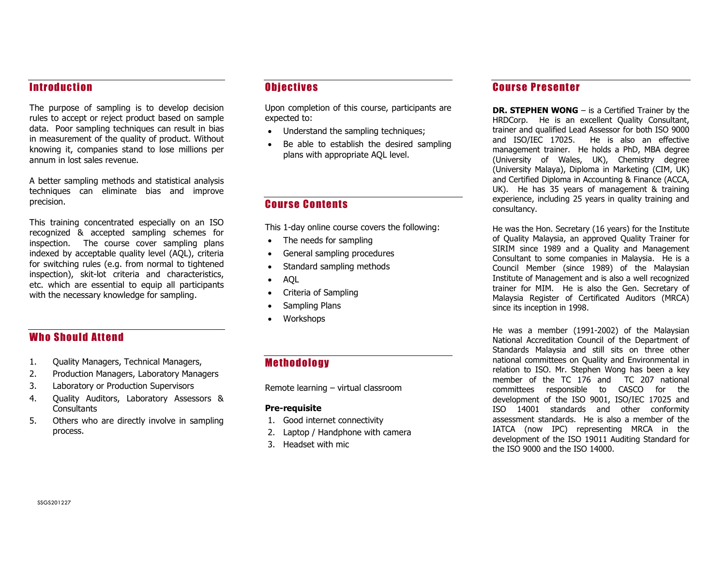## **Introduction**

The purpose of sampling is to develop decision rules to accept or reject product based on sample data. Poor sampling techniques can result in bias in measurement of the quality of product. Without knowing it, companies stand to lose millions per annum in lost sales revenue.

A better sampling methods and statistical analysis techniques can eliminate bias and improve precision.

This training concentrated especially on an ISO recognized & accepted sampling schemes for inspection. The course cover sampling plans indexed by acceptable quality level (AQL), criteria for switching rules (e.g. from normal to tightened inspection), skit-lot criteria and characteristics, etc. which are essential to equip all participants with the necessary knowledge for sampling.

# **Who Should Attend**

- 1. Quality Managers, Technical Managers,
- 2. Production Managers, Laboratory Managers
- 3. Laboratory or Production Supervisors
- 4. Quality Auditors, Laboratory Assessors & **Consultants**
- 5. Others who are directly involve in sampling process.

## **Objectives**

Upon completion of this course, participants are expected to:

- Understand the sampling techniques;
- Be able to establish the desired sampling plans with appropriate AQL level.

#### Course Contents

This 1-day online course covers the following:

- The needs for sampling
- General sampling procedures
- Standard sampling methods
- AQL
- Criteria of Sampling
- Sampling Plans
- **Workshops**

# **Methodology**

Remote learning – virtual classroom

#### Pre-requisite

- 1. Good internet connectivity
- 2. Laptop / Handphone with camera
- 3. Headset with mic

#### **Course Presenter**

DR. STEPHEN WONG – is a Certified Trainer by the HRDCorp. He is an excellent Quality Consultant, trainer and qualified Lead Assessor for both ISO 9000 and ISO/IEC 17025. He is also an effective management trainer. He holds a PhD, MBA degree (University of Wales, UK), Chemistry degree (University Malaya), Diploma in Marketing (CIM, UK) and Certified Diploma in Accounting & Finance (ACCA, UK). He has 35 years of management & training experience, including 25 years in quality training and consultancy.

He was the Hon. Secretary (16 years) for the Institute of Quality Malaysia, an approved Quality Trainer for SIRIM since 1989 and a Quality and Management Consultant to some companies in Malaysia. He is a Council Member (since 1989) of the Malaysian Institute of Management and is also a well recognized trainer for MIM. He is also the Gen. Secretary of Malaysia Register of Certificated Auditors (MRCA) since its inception in 1998.

He was a member (1991-2002) of the Malaysian National Accreditation Council of the Department of Standards Malaysia and still sits on three other national committees on Quality and Environmental in relation to ISO. Mr. Stephen Wong has been a key member of the TC 176 and TC 207 national committees responsible to CASCO for the development of the ISO 9001, ISO/IEC 17025 and ISO 14001 standards and other conformity assessment standards. He is also a member of the IATCA (now IPC) representing MRCA in the development of the ISO 19011 Auditing Standard for the ISO 9000 and the ISO 14000.